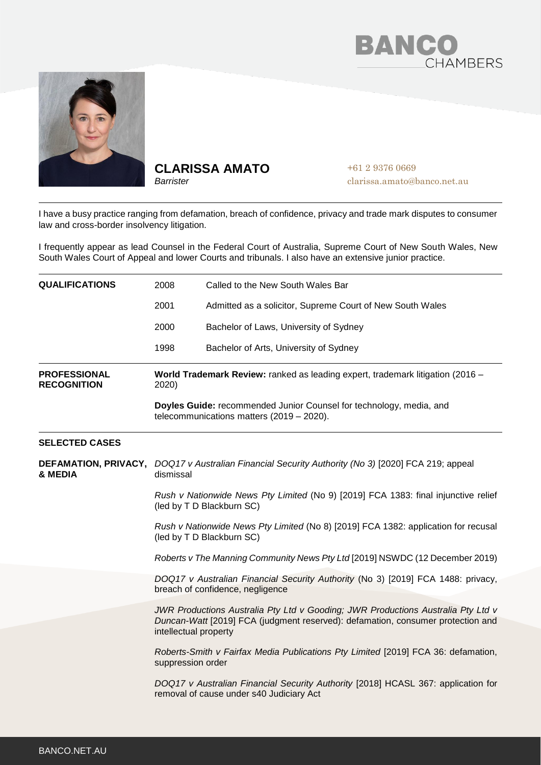



## **CLARISSA AMATO**

*Barrister*

+61 2 9376 0669 clarissa.amato@banco.net.au

I have a busy practice ranging from defamation, breach of confidence, privacy and trade mark disputes to consumer law and cross-border insolvency litigation.

I frequently appear as lead Counsel in the Federal Court of Australia, Supreme Court of New South Wales, New South Wales Court of Appeal and lower Courts and tribunals. I also have an extensive junior practice.

| <b>QUALIFICATIONS</b>                     | 2008                                                                                                                                                                                                        | Called to the New South Wales Bar                                                                                                                                   |
|-------------------------------------------|-------------------------------------------------------------------------------------------------------------------------------------------------------------------------------------------------------------|---------------------------------------------------------------------------------------------------------------------------------------------------------------------|
|                                           | 2001                                                                                                                                                                                                        | Admitted as a solicitor, Supreme Court of New South Wales                                                                                                           |
|                                           | 2000                                                                                                                                                                                                        | Bachelor of Laws, University of Sydney                                                                                                                              |
|                                           | 1998                                                                                                                                                                                                        | Bachelor of Arts, University of Sydney                                                                                                                              |
| <b>PROFESSIONAL</b><br><b>RECOGNITION</b> | World Trademark Review: ranked as leading expert, trademark litigation (2016 -<br>2020)<br>Doyles Guide: recommended Junior Counsel for technology, media, and<br>telecommunications matters (2019 - 2020). |                                                                                                                                                                     |
|                                           |                                                                                                                                                                                                             |                                                                                                                                                                     |
| <b>SELECTED CASES</b>                     |                                                                                                                                                                                                             |                                                                                                                                                                     |
| & MEDIA                                   | DEFAMATION, PRIVACY, DOQ17 v Australian Financial Security Authority (No 3) [2020] FCA 219; appeal<br>dismissal                                                                                             |                                                                                                                                                                     |
|                                           | Rush v Nationwide News Pty Limited (No 9) [2019] FCA 1383: final injunctive relief<br>(led by T D Blackburn SC)                                                                                             |                                                                                                                                                                     |
|                                           | Rush v Nationwide News Pty Limited (No 8) [2019] FCA 1382: application for recusal<br>(led by T D Blackburn SC)                                                                                             |                                                                                                                                                                     |
|                                           | Roberts v The Manning Community News Pty Ltd [2019] NSWDC (12 December 2019)                                                                                                                                |                                                                                                                                                                     |
|                                           |                                                                                                                                                                                                             | DOQ17 v Australian Financial Security Authority (No 3) [2019] FCA 1488: privacy,<br>breach of confidence, negligence                                                |
|                                           | intellectual property                                                                                                                                                                                       | JWR Productions Australia Pty Ltd v Gooding; JWR Productions Australia Pty Ltd v<br>Duncan-Watt [2019] FCA (judgment reserved): defamation, consumer protection and |
|                                           | suppression order                                                                                                                                                                                           | Roberts-Smith v Fairfax Media Publications Pty Limited [2019] FCA 36: defamation,                                                                                   |
|                                           |                                                                                                                                                                                                             | DOQ17 v Australian Financial Security Authority [2018] HCASL 367: application for<br>removal of cause under s40 Judiciary Act                                       |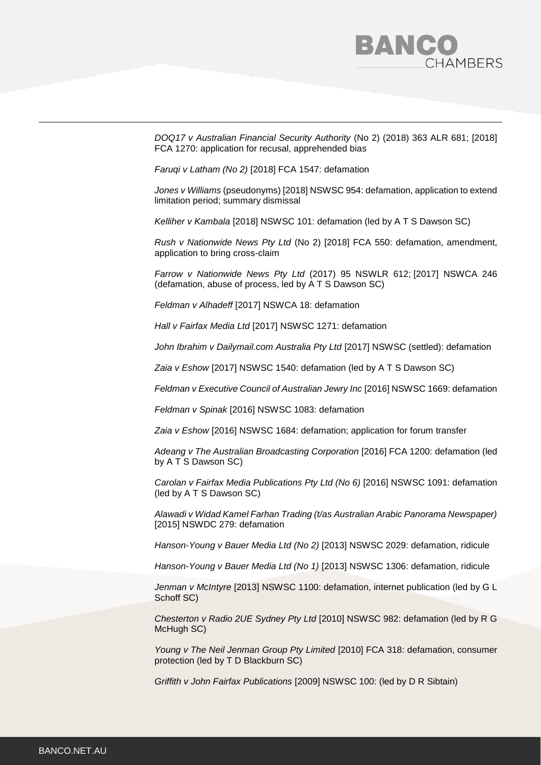

*DOQ17 v Australian Financial Security Authority* (No 2) (2018) 363 ALR 681; [2018] FCA 1270: application for recusal, apprehended bias

*[Faruqi v Latham \(No 2\)](https://www.judgments.fedcourt.gov.au/judgments/Judgments/fca/single/2018/2018fca1547)* [2018] FCA 1547: defamation

*Jones v Williams* [\(pseudonyms\) \[2018\] NSWSC 954:](https://www.caselaw.nsw.gov.au/decision/5b2c6995e4b09e9963070434) defamation, application to extend limitation period; summary dismissal

*[Kelliher v Kambala](https://www.caselaw.nsw.gov.au/decision/5a822d91e4b074a7c6e1c44c)* [2018] NSWSC 101: defamation (led by A T S Dawson SC)

*[Rush v Nationwide News Pty Ltd](https://www.judgments.fedcourt.gov.au/judgments/Judgments/fca/single/2018/2018fca0550)* (No 2) [2018] FCA 550: defamation, amendment, application to bring cross-claim

*Farrow v Nationwide News Pty Ltd* [\(2017\) 95 NSWLR](https://advance.lexis.com/document/?pdmfid=1201008&crid=f37fb0df-5e05-49ec-be5c-35dc6e44bc9a&pddocfullpath=%2Fshared%2Fdocument%2Fcases-au%2Furn%3AcontentItem%3A5PPB-93C1-F7G6-610R-00000-00&pddocid=urn%3AcontentItem%3A5PPB-93C1-F7G6-610R-00000-00&pdcontentcomponentid=267716&pdshepid=urn%3AcontentItem%3A5PPB-93C1-F7G6-610R-00000-00&pdteaserkey=sr0&pdicsfeatureid=1517127&pditab=allpods&ecomp=1f-dk&earg=sr0&prid=2218626c-858c-4730-8aa1-87423b15c020) 612; [\[2017\] NSWCA 246](https://advance.lexis.com/document/?pdmfid=1201008&crid=f37fb0df-5e05-49ec-be5c-35dc6e44bc9a&pddocfullpath=%2Fshared%2Fdocument%2Fcases-au%2Furn%3AcontentItem%3A5PPB-93C1-F7G6-610R-00000-00&pddocid=urn%3AcontentItem%3A5PPB-93C1-F7G6-610R-00000-00&pdcontentcomponentid=267716&pdshepid=urn%3AcontentItem%3A5PPB-93C1-F7G6-610R-00000-00&pdteaserkey=sr0&pdicsfeatureid=1517127&pditab=allpods&ecomp=1f-dk&earg=sr0&prid=2218626c-858c-4730-8aa1-87423b15c020) (defamation, abuse of process, led by A T S Dawson SC)

*Feldman v Alhadeff* [2017] NSWCA 18: defamation

*Hall v Fairfax Media Ltd* [2017] NSWSC 1271: defamation

*John Ibrahim v Dailymail.com Australia Pty Ltd* [2017] NSWSC (settled): defamation

*Zaia v Eshow* [2017] NSWSC 1540: defamation (led by A T S Dawson SC)

*Feldman v Executive Council of Australian Jewry Inc* [2016] NSWSC 1669: defamation

*Feldman v Spinak* [2016] NSWSC 1083: defamation

*Zaia v Eshow* [2016] NSWSC 1684: defamation; application for forum transfer

*Adeang v The Australian Broadcasting Corporation* [2016] FCA 1200: defamation (led by A T S Dawson SC)

*Carolan v Fairfax Media Publications Pty Ltd (No 6)* [2016] NSWSC 1091: defamation (led by A T S Dawson SC)

*Alawadi v Widad Kamel Farhan Trading (t/as Australian Arabic Panorama Newspaper)* [2015] NSWDC 279: defamation

*Hanson-Young v Bauer Media Ltd (No 2)* [2013] NSWSC 2029: defamation, ridicule

*Hanson-Young v Bauer Media Ltd (No 1)* [2013] NSWSC 1306: defamation, ridicule

*Jenman v McIntyre* [2013] NSWSC 1100: defamation, internet publication (led by G L Schoff SC)

*Chesterton v Radio 2UE Sydney Pty Ltd* [2010] NSWSC 982: defamation (led by R G McHugh SC)

*Young v The Neil Jenman Group Pty Limited* [2010] FCA 318: defamation, consumer protection (led by T D Blackburn SC)

*Griffith v John Fairfax Publications* [2009] NSWSC 100: (led by D R Sibtain)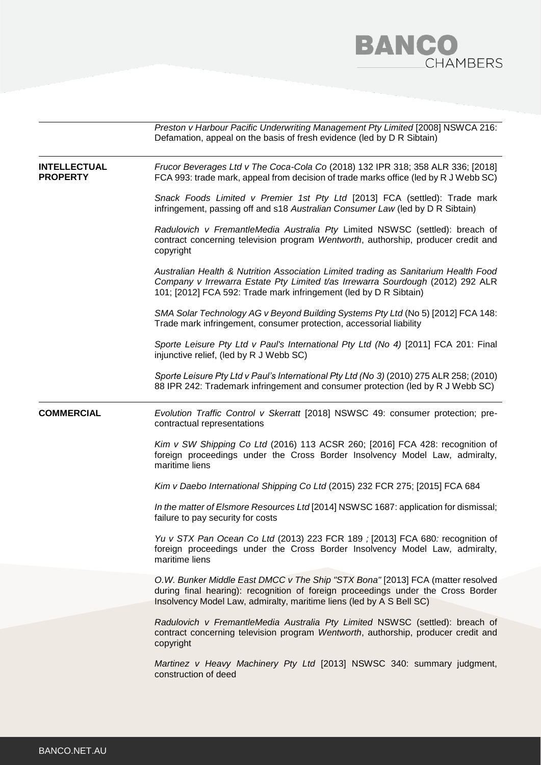

|                                        | Preston v Harbour Pacific Underwriting Management Pty Limited [2008] NSWCA 216:<br>Defamation, appeal on the basis of fresh evidence (led by D R Sibtain)                                                                                  |
|----------------------------------------|--------------------------------------------------------------------------------------------------------------------------------------------------------------------------------------------------------------------------------------------|
| <b>INTELLECTUAL</b><br><b>PROPERTY</b> | Frucor Beverages Ltd v The Coca-Cola Co (2018) 132 IPR 318; 358 ALR 336; [2018]<br>FCA 993: trade mark, appeal from decision of trade marks office (led by R J Webb SC)                                                                    |
|                                        | Snack Foods Limited v Premier 1st Pty Ltd [2013] FCA (settled): Trade mark<br>infringement, passing off and s18 Australian Consumer Law (led by D R Sibtain)                                                                               |
|                                        | Radulovich v FremantleMedia Australia Pty Limited NSWSC (settled): breach of<br>contract concerning television program Wentworth, authorship, producer credit and<br>copyright                                                             |
|                                        | Australian Health & Nutrition Association Limited trading as Sanitarium Health Food<br>Company v Irrewarra Estate Pty Limited t/as Irrewarra Sourdough (2012) 292 ALR<br>101; [2012] FCA 592: Trade mark infringement (led by D R Sibtain) |
|                                        | SMA Solar Technology AG v Beyond Building Systems Pty Ltd (No 5) [2012] FCA 148:<br>Trade mark infringement, consumer protection, accessorial liability                                                                                    |
|                                        | Sporte Leisure Pty Ltd v Paul's International Pty Ltd (No 4) [2011] FCA 201: Final<br>injunctive relief, (led by R J Webb SC)                                                                                                              |
|                                        | Sporte Leisure Pty Ltd v Paul's International Pty Ltd (No 3) (2010) 275 ALR 258; (2010)<br>88 IPR 242: Trademark infringement and consumer protection (led by R J Webb SC)                                                                 |
| <b>COMMERCIAL</b>                      | Evolution Traffic Control v Skerratt [2018] NSWSC 49: consumer protection; pre-<br>contractual representations                                                                                                                             |
|                                        | Kim v SW Shipping Co Ltd (2016) 113 ACSR 260; [2016] FCA 428: recognition of<br>foreign proceedings under the Cross Border Insolvency Model Law, admiralty,<br>maritime liens                                                              |
|                                        | Kim v Daebo International Shipping Co Ltd (2015) 232 FCR 275; [2015] FCA 684                                                                                                                                                               |
|                                        | In the matter of Elsmore Resources Ltd [2014] NSWSC 1687: application for dismissal;<br>failure to pay security for costs                                                                                                                  |
|                                        | Yu v STX Pan Ocean Co Ltd (2013) 223 FCR 189 ; [2013] FCA 680: recognition of<br>foreign proceedings under the Cross Border Insolvency Model Law, admiralty,<br>maritime liens                                                             |
|                                        | O.W. Bunker Middle East DMCC v The Ship "STX Bona" [2013] FCA (matter resolved<br>during final hearing): recognition of foreign proceedings under the Cross Border<br>Insolvency Model Law, admiralty, maritime liens (led by A S Bell SC) |
|                                        | Radulovich v FremantleMedia Australia Pty Limited NSWSC (settled): breach of<br>contract concerning television program Wentworth, authorship, producer credit and<br>copyright                                                             |
|                                        | Martinez v Heavy Machinery Pty Ltd [2013] NSWSC 340: summary judgment,<br>construction of deed                                                                                                                                             |